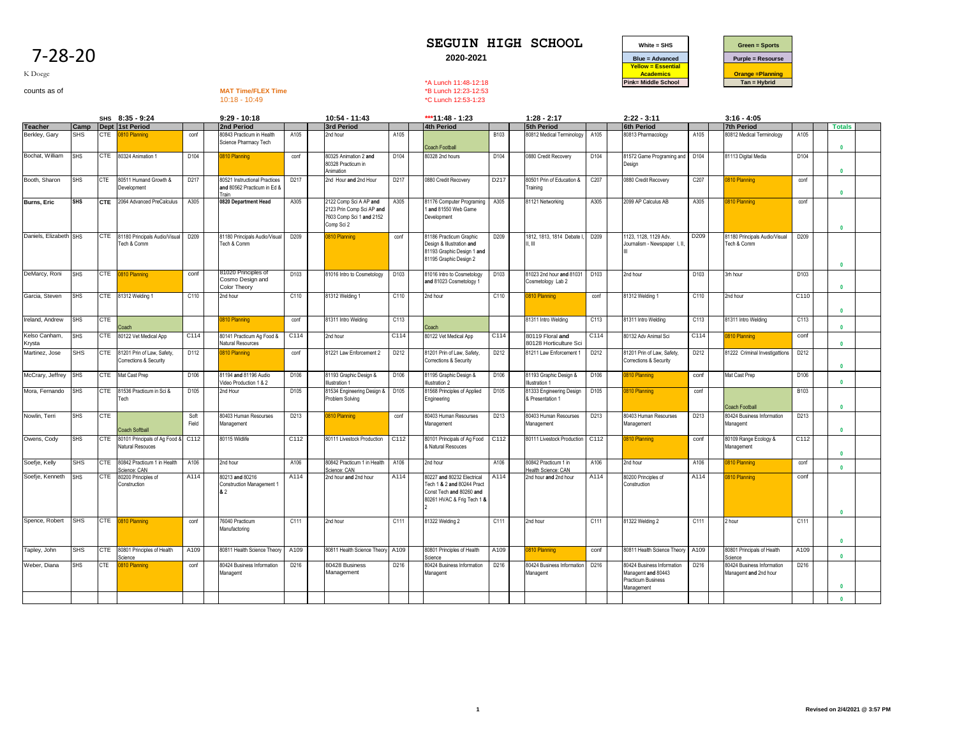

K Doege

# counts as of **MAT Time/FLEX Time**<br>counts as of **MAT Time/FLEX Time**<br>10:18 - 10:49<br>**MAT Time/FLEX Time**<br>20:49<br>**C Lunch 12:53-1:23**

10:18 - 10:49 \*C Lunch 12:53-1:23

|                         |            |            | SHS 8:35 - 9:24                                            |               | $9:29 - 10:18$                                                               |                  | 10:54 - 11:43                                                                                 |      | *** $11:48 - 1:23$                                                                                                 |      | $1:28 - 2:17$                                 |      | $2:22 - 3:11$                                                                        |                  | $3:16 - 4:05$                                       |      |               |  |
|-------------------------|------------|------------|------------------------------------------------------------|---------------|------------------------------------------------------------------------------|------------------|-----------------------------------------------------------------------------------------------|------|--------------------------------------------------------------------------------------------------------------------|------|-----------------------------------------------|------|--------------------------------------------------------------------------------------|------------------|-----------------------------------------------------|------|---------------|--|
| <b>Teacher</b>          | Camp       |            | Dept 1st Period                                            |               | 2nd Period                                                                   |                  | 3rd Period                                                                                    |      | <b>4th Period</b>                                                                                                  |      | <b>5th Period</b>                             |      | <b>6th Period</b>                                                                    |                  | <b>7th Period</b>                                   |      | <b>Totals</b> |  |
| Berkley, Gary           | <b>SHS</b> |            | CTE 0810 Planning                                          | conf          | 80843 Practicum in Health<br>Science Pharmacy Tech                           | A105             | 2nd hour                                                                                      | A105 | <b>Coach Football</b>                                                                                              | B103 | 80812 Medical Terminology                     | A105 | 80813 Pharmacology                                                                   | A105             | 80812 Medical Terminology                           | A105 | $\mathbf{0}$  |  |
| Bochat, William         | <b>SHS</b> |            | CTE 80324 Animation 1                                      | D104          | 0810 Planning                                                                | conf             | 80325 Animation 2 and<br>30328 Practicum in<br>Animation                                      | D104 | 80328 2nd hours                                                                                                    | D104 | 0880 Credit Recovery                          | D104 | 81572 Game Programing and D104<br>Desian                                             |                  | 81113 Digital Media                                 | D104 | $\mathbf{r}$  |  |
| Booth, Sharon           | <b>SHS</b> | <b>CTE</b> | 80511 Humand Growth &<br>Development                       | D217          | <b>80521 Instructional Practices</b><br>and 80562 Practicum in Ed &<br>Train | D217             | 2nd Hour and 2nd Hour                                                                         | D217 | 0880 Credit Recovery                                                                                               | D217 | 80501 Prin of Education &<br>Training         | C207 | 0880 Credit Recovery                                                                 | C207             | 810 Planning                                        | conf | $\mathbf{0}$  |  |
| Burns, Eric             | <b>SHS</b> | <b>CTE</b> | 2064 Advanced PreCalculus                                  | A305          | 0820 Department Head                                                         | A305             | 2122 Comp Sci A AP and<br>2123 Prin Comp Sci AP and<br>7603 Comp Sci 1 and 2152<br>Comp Sci 2 | A305 | 81176 Computer Programing<br>1 and 81550 Web Game<br>Development                                                   | A305 | 81121 Networking                              | A305 | 2099 AP Calculus AB                                                                  | A305             | 810 Planning                                        | conf | $\mathbf{0}$  |  |
| Daniels, Elizabeth SHS  |            |            | CTE 81180 Principals Audio/Visual<br>Tech & Comm           | D209          | 81180 Principals Audio/Visual<br>Tech & Comm                                 | D209             | 0810 Planning                                                                                 | conf | 81186 Practicum Graphic<br>Design & Illustration and<br>81193 Graphic Design 1 and<br>81195 Graphic Design 2       | D209 | 1812, 1813, 1814 Debate I.<br>11 III          | D209 | 1123. 1128. 1129 Adv.<br>Journalism - Newspaper I, II,                               | D <sub>209</sub> | 81180 Principals Audio/Visual<br>Tech & Comm        | D209 | $\mathbf{0}$  |  |
| DeMarcy, Roni           | <b>SHS</b> |            | CTE 0810 Planning                                          | conf          | 81020 Principles of<br>Cosmo Design and<br><b>Color Theory</b>               | D103             | 81016 Intro to Cosmetology                                                                    | D103 | 81016 Intro to Cosmetology<br>and 81023 Cosmetology 1                                                              | D103 | 81023 2nd hour and 81031<br>Cosmetology Lab 2 | D103 | 2nd hour                                                                             | D103             | 3rh hour                                            | D103 | $\mathbf{0}$  |  |
| Garcia, Steven          | <b>SHS</b> |            | CTE 81312 Welding 1                                        | C110          | 2nd hour                                                                     | C110             | 81312 Welding 1                                                                               | C110 | 2nd hour                                                                                                           | C110 | 0810 Planning                                 | conf | 81312 Welding 1                                                                      | C110             | 2nd hour                                            | C110 | $\mathbf{0}$  |  |
| Ireland, Andrew         | <b>SHS</b> | <b>CTE</b> | Coach                                                      |               | 0810 Planning                                                                | conf             | 81311 Intro Welding                                                                           | C113 | Coach                                                                                                              |      | 81311 Intro Welding                           | C113 | 81311 Intro Welding                                                                  | C113             | 81311 Intro Welding                                 | C113 | $\mathbf{0}$  |  |
| Kelso Canham,<br>Krysta | <b>SHS</b> |            | CTE 80122 Vet Medical App                                  | C114          | 80141 Practicum Ag Food &<br>Natural Resources                               | C <sub>114</sub> | 2nd hour                                                                                      | C114 | 80122 Vet Medical App                                                                                              | C114 | 80119 Floral and<br>80128 Horticulture Sci    | C114 | 80132 Adv Animal Sci                                                                 | C114             | 810 Planning                                        | conf | $\mathbf{0}$  |  |
| Martinez, Jose          | <b>SHS</b> |            | CTE 81201 Prin of Law, Safety,<br>Corrections & Security   | D112          | 0810 Planning                                                                | conf             | 81221 Law Enforcement 2                                                                       | D212 | 81201 Prin of Law, Safety,<br>Corrections & Security                                                               | D212 | 81211 Law Enforcement                         | D212 | 81201 Prin of Law, Safety<br>Corrections & Security                                  | D212             | 81222 Criminal Investigattions                      | D212 | $\mathbf{0}$  |  |
| McCrary, Jeffrey SHS    |            |            | CTE Mat Cast Prep                                          | D106          | 81194 and 81196 Audio<br>Video Production 1 & 2                              | D106             | 81193 Graphic Design &<br><b>Ilustration 1</b>                                                | D106 | 81195 Graphic Design &<br>Illustration 2                                                                           | D106 | 81193 Graphic Design &<br>Illustration 1      | D106 | 810 Planning                                                                         | conf             | Mat Cast Prep                                       | D106 | $\mathbf{r}$  |  |
| Mora, Fernando          | <b>SHS</b> |            | CTE 81536 Practicum in Sci &<br>Tech                       | D105          | 2nd Hour                                                                     | D105             | 81534 Engineering Design &<br>Problem Solving                                                 | D105 | 81568 Principles of Applied<br>Engineering                                                                         | D105 | 81333 Engineering Design<br>& Presentation 1  | D105 | 810 Planning                                                                         | conf             | <b>Coach Football</b>                               | B103 | $\mathbf 0$   |  |
| Nowlin, Terri           | <b>SHS</b> | <b>CTE</b> | <b>Coach Softball</b>                                      | Soft<br>Field | 80403 Human Resourses<br>Management                                          | D213             | 810 Planning                                                                                  | conf | 80403 Human Resourses<br>Management                                                                                | D213 | 80403 Human Resourses<br>Management           | D213 | 80403 Human Resourses<br>Management                                                  | D213             | 80424 Business Information<br>Managemt              | D213 | $\mathbf{0}$  |  |
| Owens, Cody             | <b>SHS</b> |            | CTE 80101 Principals of Ag Food & C112<br>Natural Resouces |               | 80115 Wildlife                                                               | C112             | 80111 Livestock Production                                                                    | C112 | 80101 Principals of Ag Food<br>& Natural Resouces                                                                  | C112 | 80111 Livestock Production C112               |      | <b>810 Planning</b>                                                                  | conf             | 80109 Range Ecology &<br>Management                 | C112 | $\mathbf{0}$  |  |
| Soefje, Kelly           | <b>SHS</b> | <b>CTE</b> | 80842 Practicum 1 in Health<br>cience: CAN                 | A106          | 2nd hour                                                                     | A106             | 80842 Practicum 1 in Health<br>cience: CAN                                                    | A106 | 2nd hour                                                                                                           | A106 | 80842 Practicum 1 in<br>lealth Science: CAN   | A106 | 2nd hour                                                                             | A106             | 810 Planning                                        | conf | $\mathbf{0}$  |  |
| Soefje, Kenneth         | <b>SHS</b> | <b>CTE</b> | 80200 Principles of<br>Construction                        | A114          | 80213 and 80216<br>Construction Management 1<br>82                           | A114             | 2nd hour and 2nd hour                                                                         | A114 | 80227 and 80232 Electrical<br>Tech 1 & 2 and 80244 Pract<br>Const Tech and 80260 and<br>80261 HVAC & Frig Tech 1 & | A114 | 2nd hour and 2nd hour                         | A114 | 80200 Principles of<br>Construction                                                  | A114             | 810 Planning                                        | conf | $\mathbf{0}$  |  |
| Spence, Robert          | <b>SHS</b> |            | CTE 0810 Planning                                          | conf          | 76040 Practicum<br>Manufactoring                                             | C111             | 2nd hour                                                                                      | C111 | 81322 Welding 2                                                                                                    | C111 | 2nd hour                                      | C111 | 81322 Welding 2                                                                      | C111             | 2 hour                                              | C111 | $\mathbf{0}$  |  |
| Tapley, John            | <b>SHS</b> |            | CTE 80801 Principles of Health<br>Science                  | A109          | 80811 Health Science Theory                                                  | A109             | 80811 Health Science Theory A109                                                              |      | 80801 Principles of Health<br>Science                                                                              | A109 | 0810 Planning                                 | conf | 80811 Health Science Theory                                                          | A109             | 80801 Principals of Health<br>Science               | A109 | $\mathbf{u}$  |  |
| Weber, Diana            | <b>SHS</b> | CTE        | 0810 Planning                                              | conf          | 80424 Business Information<br>Managemt                                       | D216             | 80428 Business<br>Management                                                                  | D216 | 80424 Business Information<br>Managemt                                                                             | D216 | 80424 Business Information<br>Managemt        | D216 | 80424 Business Information<br>Managemt and 80443<br>Practicum Business<br>Management | D216             | 80424 Business Information<br>Managemt and 2nd hour | D216 | $\mathbf{r}$  |  |
|                         |            |            |                                                            |               |                                                                              |                  |                                                                                               |      |                                                                                                                    |      |                                               |      |                                                                                      |                  |                                                     |      | $\mathbf{0}$  |  |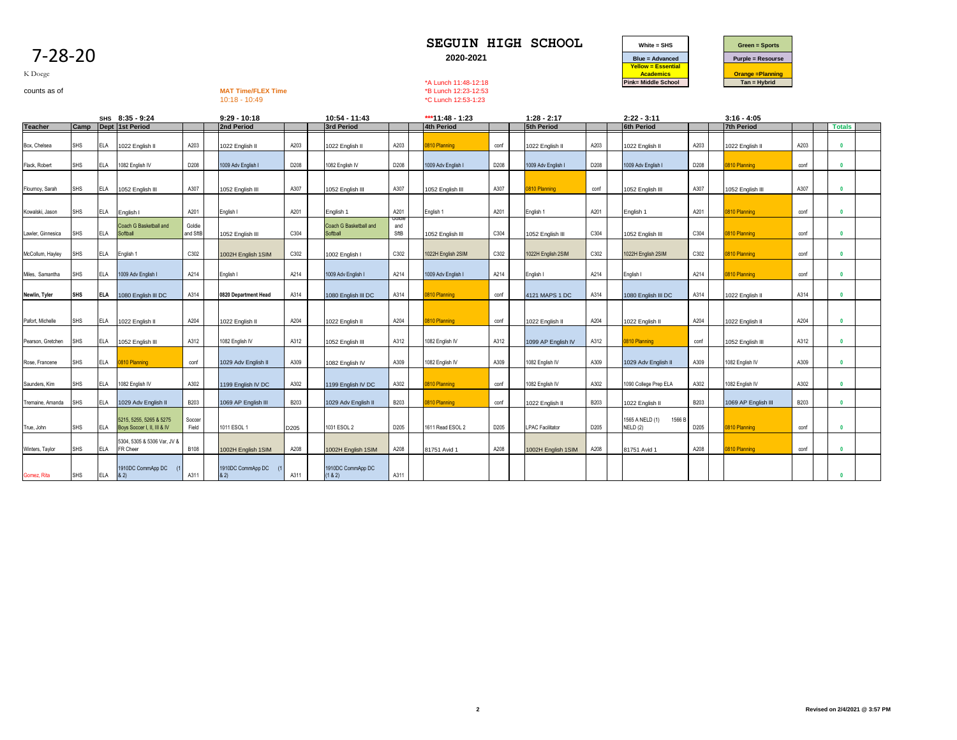| O<br>u<br>r |
|-------------|
|-------------|



K Doege

# counts as of **MAT Time/FLEX Time**<br>counts as of **MAT Time/FLEX Time**<br>10:18 - 10:49<br>**MAT Time/FLEX Time**<br>20:49<br>**C Lunch 12:53-1:23**

\*C Lunch 12:53-1:23

|                   |            |            | SHS 8:35 - 9:24                                        |                    | $9:29 - 10:18$           |             | 10:54 - 11:43                      |                       | ***11:48 - 1:23    |      | $1:28 - 2:17$           |             | $2:22 - 3:11$                        |             | $3:16 - 4:05$       |             |                         |  |
|-------------------|------------|------------|--------------------------------------------------------|--------------------|--------------------------|-------------|------------------------------------|-----------------------|--------------------|------|-------------------------|-------------|--------------------------------------|-------------|---------------------|-------------|-------------------------|--|
| <b>Teacher</b>    | Camp       |            | Dept 1st Period                                        |                    | 2nd Period               |             | 3rd Period                         |                       | <b>4th Period</b>  |      | 5th Period              |             | <b>6th Period</b>                    |             | <b>7th Period</b>   |             | <b>Totals</b>           |  |
| Box, Chelsea      | <b>SHS</b> | ELA        | 1022 English II                                        | A203               | 1022 English II          | A203        | 1022 English II                    | A203                  | 0810 Planning      | conf | 1022 English II         | A203        | 1022 English II                      | A203        | 1022 English II     | A203        | $\overline{\mathbf{0}}$ |  |
| Flack, Robert     | <b>SHS</b> | ELA        | 1082 English IV                                        | D208               | 1009 Adv English I       | D208        | 1082 English IV                    | D208                  | 1009 Adv English I | D208 | 1009 Adv English I      | D208        | 1009 Adv English I                   | D208        | 0810 Planning       | conf        | $\overline{\mathbf{0}}$ |  |
| Flournoy, Sarah   | <b>SHS</b> | ELA        | 1052 English III                                       | A307               | 1052 English III         | A307        | 1052 English III                   | A307                  | 1052 English III   | A307 | 0810 Planning           | conf        | 1052 English III                     | A307        | 1052 English III    | A307        | $\mathbf{0}$            |  |
| Kowalski, Jason   | <b>SHS</b> | ELA        | English I                                              | A201               | English I                | A201        | English 1                          | A201                  | English 1          | A201 | English 1               | A201        | English 1                            | A201        | 0810 Planning       | conf        |                         |  |
| Lawler, Ginnesica | SHS        | ELA        | Coach G Basketball and<br>Softball                     | Goldie<br>and SftB | 1052 English III         | C304        | Coach G Basketball and<br>Softball | Goldie<br>and<br>SftB | 1052 English III   | C304 | 1052 English III        | C304        | 1052 English III                     | C304        | 0810 Planning       | conf        | $\mathbf{0}$            |  |
| McCollum, Hayley  | SHS        | ELA        | English 1                                              | C302               | 1002H English 1SIM       | C302        | 1002 English I                     | C302                  | 1022H English 2SIM | C302 | 1022H English 2SIM      | C302        | 1022H English 2SIM                   | C302        | 0810 Planning       | conf        | $\mathbf{0}$            |  |
| Miles, Samantha   | <b>SHS</b> | ELA        | 1009 Adv English I                                     | A214               | English I                | A214        | 1009 Adv English I                 | A214                  | 1009 Adv English I | A214 | English I               | A214        | English I                            | A214        | 0810 Planning       | conf        | $\mathbf{0}$            |  |
| Newlin, Tyler     | <b>SHS</b> | <b>ELA</b> | 1080 English III DC                                    | A314               | 0820 Department Head     | A314        | 1080 English III DC                | A314                  | 0810 Planning      | conf | 4121 MAPS 1 DC          | A314        | 1080 English III DC                  | A314        | 1022 English II     | A314        | $\mathbf{0}$            |  |
| Pafort, Michelle  | <b>SHS</b> | ELA        | 1022 English II                                        | A204               | 1022 English II          | A204        | 1022 English II                    | A204                  | 0810 Planning      | conf | 1022 English II         | A204        | 1022 English II                      | A204        | 1022 English II     | A204        | $\mathbf{0}$            |  |
| Pearson, Gretchen | SHS        | ELA        | 1052 English III                                       | A312               | 1082 English IV          | A312        | 1052 English III                   | A312                  | 1082 English IV    | A312 | 1099 AP English IV      | A312        | <b>810 Planning</b>                  | conf        | 1052 English III    | A312        | $\mathbf{0}$            |  |
| Rose, Francene    | <b>SHS</b> | ELA        | 0810 Planning                                          | conf               | 1029 Adv English II      | A309        | 1082 English IV                    | A309                  | 1082 English IV    | A309 | 1082 English IV         | A309        | 1029 Adv English II                  | A309        | 1082 English IV     | A309        | $\mathbf{0}$            |  |
| Saunders, Kim     | <b>SHS</b> | ELA        | 1082 English IV                                        | A302               | 1199 English IV DC       | A302        | 1199 English IV DC                 | A302                  | 0810 Planning      | conf | 1082 English IV         | A302        | 1090 College Prep ELA                | A302        | 1082 English IV     | A302        | $\sqrt{2}$              |  |
| Tremaine, Amanda  | <b>SHS</b> | ELA        | 1029 Adv English II                                    | <b>B203</b>        | 1069 AP English III      | <b>B203</b> | 1029 Adv English II                | <b>B203</b>           | 0810 Planning      | conf | 1022 English II         | <b>B203</b> | 1022 English II                      | <b>B203</b> | 1069 AP English III | <b>B203</b> | $\mathbf{0}$            |  |
| True, John        | <b>SHS</b> | ELA        | 5215, 5255, 5265 & 5275<br>Boys Soccer I, II, III & IV | Soccer<br>Field    | 1011 ESOL 1              | D205        | 1031 ESOL 2                        | D205                  | 1611 Read ESOL 2   | D205 | <b>LPAC Facilitator</b> | D205        | 1566 B<br>1565 A NELD (1)<br>NELD(2) | D205        | 0810 Planning       | conf        | $\sqrt{2}$              |  |
| Winters, Taylor   | <b>SHS</b> | ELA        | 5304, 5305 & 5306 Var, JV &<br>FR Cheer                | <b>B108</b>        | 1002H English 1SIM       | A208        | 1002H English 1SIM                 | A208                  | 81751 Avid 1       | A208 | 1002H English 1SIM      | A208        | 81751 Avid 1                         | A208        | 0810 Planning       | conf        | $\mathbf{0}$            |  |
| Gomez, Rita       | <b>SHS</b> | <b>ELA</b> | 910DC CommApp DC<br>8.2                                | A311               | 1910DC CommApp DC<br>82) | A311        | 1910DC CommApp DC<br>(1 & 8 & 2)   | A311                  |                    |      |                         |             |                                      |             |                     |             |                         |  |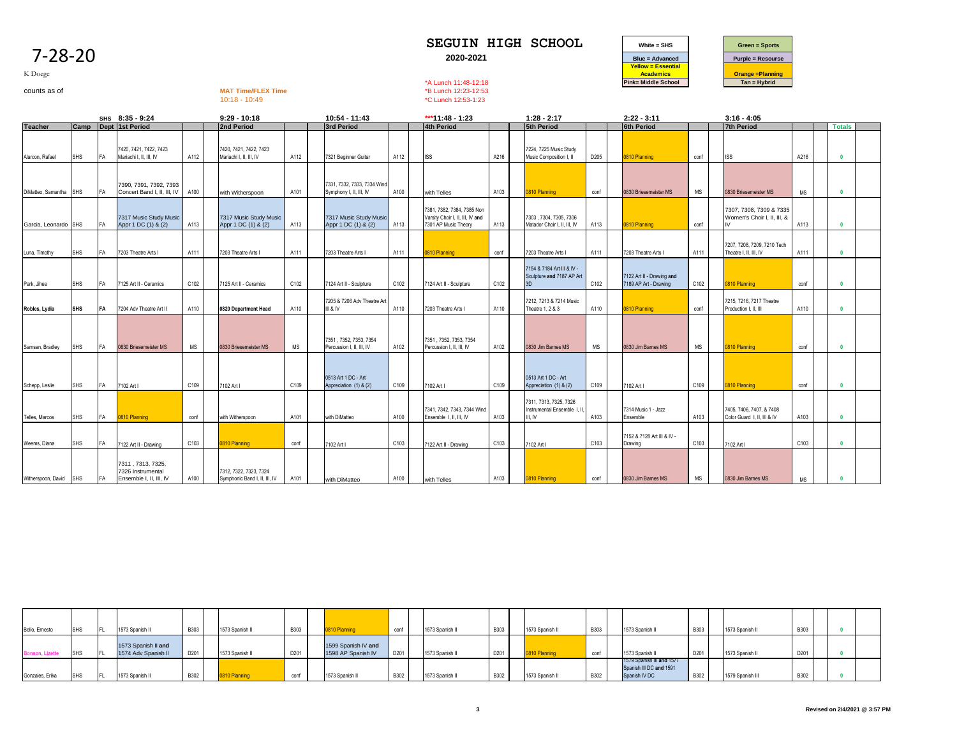| K Doege<br>counts as of |            |    |                                                                   |           | <b>MAT Time/FLEX Time</b><br>$10:18 - 10:49$            |      |                                                        |      | *A Lunch 11:48-12:18<br>*B Lunch 12:23-12:53<br>*C Lunch 12:53-1:23                    |      |                                                                 |           | $i$ ellow = Esseriual<br><b>Academics</b><br>Pink= Middle School |      | <b>Orange =Planning</b><br>$Tan = Hybrid$               |           |               |  |
|-------------------------|------------|----|-------------------------------------------------------------------|-----------|---------------------------------------------------------|------|--------------------------------------------------------|------|----------------------------------------------------------------------------------------|------|-----------------------------------------------------------------|-----------|------------------------------------------------------------------|------|---------------------------------------------------------|-----------|---------------|--|
|                         |            |    | SHS 8:35 - 9:24                                                   |           | $9:29 - 10:18$                                          |      | 10:54 - 11:43                                          |      | ***11:48 - 1:23                                                                        |      | $1:28 - 2:17$                                                   |           | $2:22 - 3:11$                                                    |      | $3:16 - 4:05$                                           |           |               |  |
| <b>Teacher</b>          | Camp       |    | Dept 1st Period                                                   |           | 2nd Period                                              |      | 3rd Period                                             |      | <b>4th Period</b>                                                                      |      | 5th Period                                                      |           | <b>6th Period</b>                                                |      | <b>7th Period</b>                                       |           | <b>Totals</b> |  |
| Alarcon, Rafael         | <b>SHS</b> | FA | 7420, 7421, 7422, 7423<br>Mariachi I, II, III, IV                 | A112      | 7420, 7421, 7422, 7423<br>Mariachi I, II, III, IV       | A112 | 7321 Beginner Guitar                                   | A112 | <b>ISS</b>                                                                             | A216 | 7224, 7225 Music Study<br>Music Composition I, II               | D205      | 0810 Planning                                                    | conf | <b>ISS</b>                                              | A216      | $\mathbf{0}$  |  |
| DiMatteo, Samantha SHS  |            | FA | 7390, 7391, 7392, 7393<br>Concert Band I. II. III. IV             | A100      | with Witherspoon                                        | A101 | 7331, 7332, 7333, 7334 Wind<br>Symphony I, II, III, IV | A100 | with Telles                                                                            | A103 | 0810 Planning                                                   | conf      | 0830 Briesemeister MS                                            | MS   | 0830 Briesemeister MS                                   | <b>MS</b> | $\mathbf{0}$  |  |
| Garcia, Leonardo SHS    |            | FA | 7317 Music Study Music<br>Appr 1 DC (1) & (2)                     | A113      | 7317 Music Study Music<br>Appr 1 DC (1) & (2)           | A113 | 7317 Music Study Music<br>Appr 1 DC (1) & (2)          | A113 | 7381, 7382, 7384, 7385 Non<br>Varsity Choir I, II, III, IV and<br>7301 AP Music Theory | A113 | 7303, 7304, 7305, 7306<br>Matador Choir I. II. III. IV          | A113      | 0810 Planning                                                    | conf | 7307, 7308, 7309 & 7335<br>Women's Choir I, II, III, &  | A113      | $\mathbf{0}$  |  |
| Luna, Timothy           | <b>SHS</b> | FA | 7203 Theatre Arts I                                               | A111      | 7203 Theatre Arts I                                     | A111 | 7203 Theatre Arts I                                    | A111 | 0810 Planning                                                                          | conf | 7203 Theatre Arts I                                             | A111      | 7203 Theatre Arts I                                              | A111 | 7207, 7208, 7209, 7210 Tech<br>Theatre I, II, III, IV   | A111      | $\mathbf{0}$  |  |
| Park, Jihee             | <b>SHS</b> | FA | 7125 Art II - Ceramics                                            | C102      | 7125 Art II - Ceramics                                  | C102 | 7124 Art II - Sculpture                                | C102 | 7124 Art II - Sculpture                                                                | C102 | 7154 & 7184 Art III & IV -<br>Sculpture and 7187 AP Art<br>3D   | C102      | 7122 Art II - Drawing and<br>7189 AP Art - Drawing               | C102 | 810 Planning                                            | conf      | $\mathbf{0}$  |  |
| Robles, Lydia           | <b>SHS</b> | FA | 7204 Adv Theatre Art II                                           | A110      | 0820 Department Head                                    | A110 | 7205 & 7206 Adv Theatre Art<br>III & IV                | A110 | 7203 Theatre Arts I                                                                    | A110 | 7212, 7213 & 7214 Music<br>Theatre 1, 2 & 3                     | A110      | 0810 Planning                                                    | conf | 7215, 7216, 7217 Theatre<br>Production I, II, III       | A110      | $\mathbf{0}$  |  |
| Samsen, Bradley         | <b>SHS</b> | FA | 0830 Briesemeister MS                                             | <b>MS</b> | 0830 Briesemeister MS                                   | MS   | 7351, 7352, 7353, 7354<br>Percussion I. II. III. IV    | A102 | 7351, 7352, 7353, 7354<br>Percussion I. II. III. IV                                    | A102 | 0830 Jim Barnes MS                                              | <b>MS</b> | 0830 Jim Barnes MS                                               | MS   | 810 Planning                                            | conf      | $\mathbf{0}$  |  |
| Schepp, Leslie          | <b>SHS</b> | FA | 7102 Art I                                                        | C109      | 7102 Art I                                              | C109 | 0513 Art 1 DC - Art<br>Appreciation (1) & (2)          | C109 | 7102 Art I                                                                             | C109 | 0513 Art 1 DC - Art<br>Appreciation (1) & (2)                   | C109      | 7102 Art I                                                       | C109 | 0810 Planning                                           | conf      | $\mathbf{0}$  |  |
| Telles, Marcos          | <b>SHS</b> | FA | 0810 Planning                                                     | conf      | with Witherspoon                                        | A101 | with DiMatteo                                          | A100 | 7341, 7342, 7343, 7344 Wind<br>Ensemble 1, II, III, IV                                 | A103 | 7311, 7313, 7325, 7326<br>Instrumental Ensemble 1, I<br>III, IV | A103      | 7314 Music 1 - Jazz<br>Ensemble                                  | A103 | 7405, 7406, 7407, & 7408<br>Color Guard 1, II, III & IV | A103      | $\sqrt{2}$    |  |
| Weems, Diana            | <b>SHS</b> | FA | 7122 Art II - Drawing                                             | C103      | 0810 Planning                                           | conf | 7102 Art I                                             | C103 | 7122 Art II - Drawing                                                                  | C103 | 7102 Art I                                                      | C103      | 7152 & 7128 Art III & IV -<br>Drawing                            | C103 | 7102 Art I                                              | C103      | $\mathbf{0}$  |  |
| Witherspoon, David      | <b>SHS</b> | FA | 7311, 7313, 7325,<br>7326 Instrumental<br>Ensemble I. II. III. IV | A100      | 7312, 7322, 7323, 7324<br>Symphonic Band I, II, III, IV | A101 | with DiMatteo                                          | A100 | with Telles                                                                            | A103 | 0810 Planning                                                   | conf      | 0830 Jim Barnes MS                                               | MS   | 0830 Jim Barnes MS                                      | <b>MS</b> | $\mathbf{0}$  |  |

| Bello, Ernesto         | IFL. | 1573 Spanish II                            | <b>B303</b> | 1573 Spanish II | <b>B303</b> | 0810 Planning                             | conf | 1573 Spanish | <b>B303</b> | 1573 Spanish II | <b>B303</b> | 1573 Spanish II                                                       | <b>B303</b> | 1573 Spanish II  | <b>B303</b> |  |  |
|------------------------|------|--------------------------------------------|-------------|-----------------|-------------|-------------------------------------------|------|--------------|-------------|-----------------|-------------|-----------------------------------------------------------------------|-------------|------------------|-------------|--|--|
| <b>Bonson, Lizette</b> |      | 1573 Spanish II and<br>1574 Adv Spanish II | D201        | 1573 Spanish II | D201        | 1599 Spanish IV and<br>1598 AP Spanish IV | D201 | 1573 Spanish | D201        |                 | conf        | 1573 Spanish II                                                       | D201        | 1573 Spanish II  | D201        |  |  |
| Gonzales, Erika        | IFL. | 1573 Spanish II                            | <b>B302</b> | 0810 Planning   | conf        | 1573 Spanish II                           | B302 | 1573 Spanish | <b>B302</b> | 1573 Spanish II | <b>B302</b> | 1579 Spanish III and 1577<br>Spanish III DC and 1591<br>Spanish IV DC | B302        | 1579 Spanish III | <b>B302</b> |  |  |

## 7-28-20

### **SEGUIN HIGH SCHOOL White = SHS Green = Sports 2020-2021 Blue = Advanced Purple = Resourse Yellow = Essential Academics Constanting Constanting**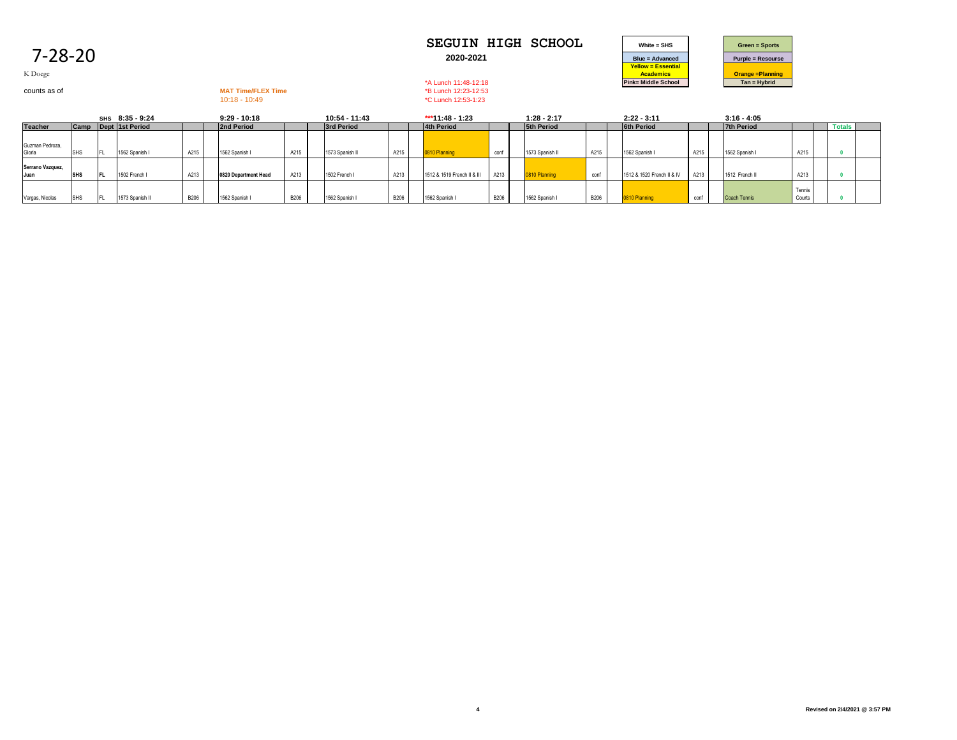| <b>SEGUIN HIGH SCHOOL</b> | $White = SHS$   | <b>Green = Sports</b>   |
|---------------------------|-----------------|-------------------------|
| 2020-2021                 | Blue = Advanced | <b>Purple = Resours</b> |



K Doege

# counts as of **MAT Time/FLEX Time**<br>
MAT Time/FLEX Time<br>
10:18 - 10:49<br>
<sup>1</sup>C Lunch 12:53-1:23

\*C Lunch 12:53-1:23

|                           |                  |   | SHS 8:35 - 9:24 |             | $9:29 - 10:18$       |             | 10:54 - 11:43   |             |                | ***11:48 - 1:23             |             | $1:28 - 2:17$     |             | $2:22 - 3:11$              |      | $3:16 - 4:05$     |                  |               |  |
|---------------------------|------------------|---|-----------------|-------------|----------------------|-------------|-----------------|-------------|----------------|-----------------------------|-------------|-------------------|-------------|----------------------------|------|-------------------|------------------|---------------|--|
| <b>Teacher</b>            | <b>Camp</b>      |   | Dept 1st Period |             | 2nd Period           |             | 3rd Period      |             | 4th Period     |                             |             | <b>5th Period</b> |             | <b>6th Period</b>          |      | <b>7th Period</b> |                  | <b>Totals</b> |  |
| Guzman Pedroza,<br>Gloria |                  | F | 1562 Spanish I  | A215        | 1562 Spanish I       | A215        | 1573 Spanish II | A215        | 0810 Planning  |                             | conf        | 1573 Spanish I    | A215        | 1562 Spanish I             | A215 | 1562 Spanish I    | A21              |               |  |
| Serrano Vazquez,<br>Juan  | <b>SHS</b>       |   | 1502 French I   | A213        | 0820 Department Head | A213        | 1502 French I   | A213        |                | 1512 & 1519 French II & III | A213        | 0810 Planning     | conf        | 1512 & 1520 French II & IV | A213 | 1512 French I     | A213             |               |  |
| Vargas, Nicolas           | S <sub>H</sub> S |   | 1573 Spanish II | <b>B206</b> | 1562 Spanish I       | <b>B206</b> | 1562 Spanish I  | <b>B206</b> | 1562 Spanish I |                             | <b>B206</b> | 1562 Spanish      | <b>B206</b> | 0810 Planning              | conf | Coach Tennis      | Tennis<br>Courts |               |  |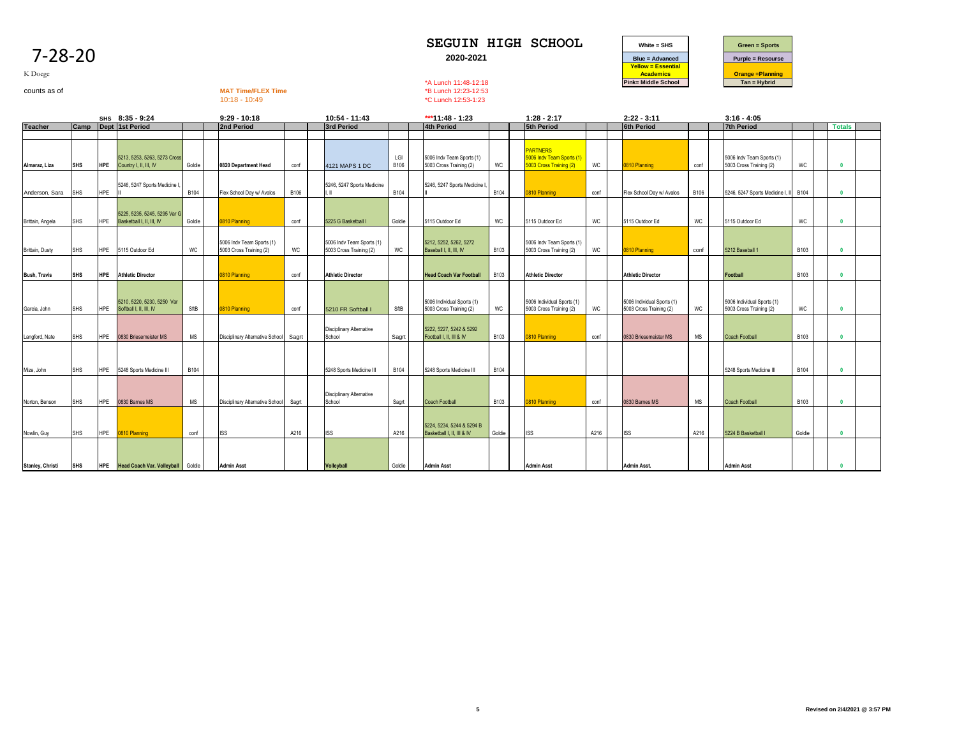| -28-20 |  |
|--------|--|
|        |  |



K Doege

counts as of **MAT Time/FLEX Time**<br>counts as of **MAT Time/FLEX Time**<br>10:18 - 10:49<br>**MAT Time/FLEX Time**<br>20:49<br>**C Lunch 12:53-1:23** \*C Lunch 12:53-1:23

|                         | SHS 8:35 - 9:24 |            |                                                           | $9:29 - 10:18$ |                                                      | 10:54 - 11:43 |                                                      | *** 11:48 - 1:23 |                                                         | $1:28 - 2:17$ |                                                                         | $2:22 - 3:11$ |                                                       | $3:16 - 4:05$        |                                                       |             |               |  |
|-------------------------|-----------------|------------|-----------------------------------------------------------|----------------|------------------------------------------------------|---------------|------------------------------------------------------|------------------|---------------------------------------------------------|---------------|-------------------------------------------------------------------------|---------------|-------------------------------------------------------|----------------------|-------------------------------------------------------|-------------|---------------|--|
| <b>Teacher</b>          | Camp            |            | Dept 1st Period                                           |                | 2nd Period                                           |               | 3rd Period                                           |                  | 4th Period                                              |               | <b>5th Period</b>                                                       |               | <b>6th Period</b>                                     |                      | <b>7th Period</b>                                     |             | <b>Totals</b> |  |
|                         |                 |            |                                                           |                |                                                      |               |                                                      |                  |                                                         |               |                                                                         |               |                                                       |                      |                                                       |             |               |  |
| Almaraz, Liza           | <b>SHS</b>      | <b>HPE</b> | 5213, 5253, 5263, 5273 Cross<br>Country I, II, III, IV    | Goldie         | 0820 Department Head                                 | conf          | 4121 MAPS 1 DC                                       | LGI<br>B106      | 5006 Indv Team Sports (1)<br>5003 Cross Training (2)    | WC            | <b>PARTNERS</b><br>5006 Indy Team Sports (1)<br>5003 Cross Training (2) | WC            | 0810 Planning                                         | conf                 | 5006 Indv Team Sports (1)<br>5003 Cross Training (2)  | WC          |               |  |
| Anderson, Sara          | <b>SHS</b>      | HPE        | 5246, 5247 Sports Medicine I                              | B104           | Flex School Dav w/ Avalos                            | B106          | 5246, 5247 Sports Medicine<br>LШ                     | B104             | 5246, 5247 Sports Medicine I                            | <b>B104</b>   | 0810 Planning                                                           | conf          | Flex School Dav w/ Avalos                             | <b>B106</b>          | 5246, 5247 Sports Medicine I,                         | B104        |               |  |
| Brittain, Angela        | <b>SHS</b>      | <b>HPE</b> | 5225, 5235, 5245, 5295 Var G<br>Basketball I, II, III, IV | Goldie         | 0810 Planning                                        | conf          | 5225 G Basketball I                                  | Goldie           | 5115 Outdoor Ed                                         | WC            | 5115 Outdoor Ed                                                         | <b>WC</b>     | 5115 Outdoor Ed                                       | WC                   | 5115 Outdoor Ed                                       | WC          |               |  |
| Brittain, Dusty         | <b>SHS</b>      | <b>HPE</b> | 5115 Outdoor Ed                                           | WC             | 5006 Indv Team Sports (1)<br>5003 Cross Training (2) | WC            | 5006 Indv Team Sports (1)<br>5003 Cross Training (2) | WC               | 5212, 5252, 5262, 5272<br>Baseball I, II, III, IV       | <b>B103</b>   | 5006 Indv Team Sports (1)<br>5003 Cross Training (2)                    | WC            | 0810 Planning                                         | conf                 | 5212 Baseball 1                                       | B103        |               |  |
| <b>Bush, Travis</b>     | <b>SHS</b>      | <b>HPE</b> | <b>Athletic Director</b>                                  |                | 0810 Planning                                        | conf          | <b>Athletic Director</b>                             |                  | <b>Head Coach Var Football</b>                          | <b>B103</b>   | <b>Athletic Director</b>                                                |               | <b>Athletic Director</b>                              |                      | Football                                              | <b>B103</b> |               |  |
| Garcia, John            | <b>SHS</b>      | HPE        | 5210, 5220, 5230, 5250 Var<br>Softball I, II, III, IV     | SftB           | 0810 Planning                                        | conf          | 5210 FR Softball I                                   | SftB             | 5006 Individual Sports (1)<br>5003 Cross Training (2)   | WC            | 5006 Individual Sports (1)<br>5003 Cross Training (2)                   | WC            | 5006 Individual Sports (1)<br>5003 Cross Training (2) | WC                   | 5006 Individual Sports (1)<br>5003 Cross Training (2) | WC          |               |  |
| Langford, Nate          | SHS             | <b>HPE</b> | 0830 Briesemeister MS                                     | MS             | Disciplinary Alternative School                      | Sagrt         | <b>Disciplinary Alternative</b><br>School            | Sagrt            | 5222, 5227, 5242 & 5292<br>Football I, II, III & IV     | <b>B103</b>   | 0810 Planning                                                           | conf          | 0830 Briesemeister MS                                 | $\mathsf{MS}\xspace$ | <b>Coach Football</b>                                 | <b>B103</b> |               |  |
| Mize, John              | <b>SHS</b>      | HPE        | 5248 Sports Medicine III                                  | B104           |                                                      |               | 5248 Sports Medicine III                             | B104             | 5248 Sports Medicine III                                | B104          |                                                                         |               |                                                       |                      | 5248 Sports Medicine III                              | <b>B104</b> |               |  |
| Norton, Benson          | <b>SHS</b>      | <b>HPE</b> | 0830 Barnes MS                                            | <b>MS</b>      | Disciplinary Alternative School                      | Sagrt         | Disciplinary Alternative<br>School                   | Sagrt            | <b>Coach Football</b>                                   | B103          | 0810 Planning                                                           | conf          | 0830 Barnes MS                                        | MS                   | <b>Coach Football</b>                                 | B103        | $\mathbf{0}$  |  |
| Nowlin, Guy             | SHS             | <b>HPE</b> | 0810 Planning                                             | conf           | <b>ISS</b>                                           | A216          | <b>ISS</b>                                           | A216             | 5224, 5234, 5244 & 5294 B<br>Basketball I, II, III & IV | Goldie        | <b>ISS</b>                                                              | A216          | <b>ISS</b>                                            | A216                 | 5224 B Basketball                                     | Goldie      |               |  |
| <b>Stanley, Christi</b> | <b>SHS</b>      |            | <b>HPE</b> Head Coach Var. Volleyball                     | Goldie         | <b>Admin Asst</b>                                    |               | <b>Volleyball</b>                                    | Goldie           | <b>Admin Asst</b>                                       |               | <b>Admin Asst</b>                                                       |               | <b>Admin Asst.</b>                                    |                      | <b>Admin Asst</b>                                     |             |               |  |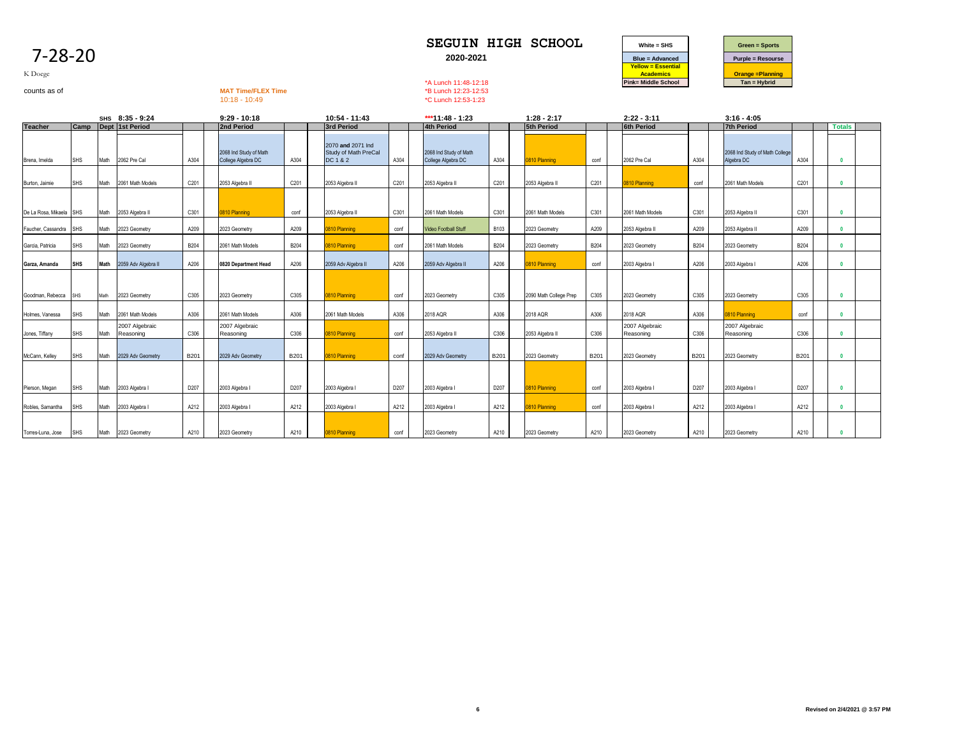|                         |            |      |                     |             |                                              |             |                                                       |      |                                              |             |                        |             | <b>Yellow = Essential</b>  |             |                                              |             |               |  |
|-------------------------|------------|------|---------------------|-------------|----------------------------------------------|-------------|-------------------------------------------------------|------|----------------------------------------------|-------------|------------------------|-------------|----------------------------|-------------|----------------------------------------------|-------------|---------------|--|
| K Doege                 |            |      |                     |             |                                              |             |                                                       |      |                                              |             |                        |             | <b>Academics</b>           |             | <b>Orange = Planning</b>                     |             |               |  |
|                         |            |      |                     |             |                                              |             |                                                       |      | *A Lunch 11:48-12:18                         |             |                        |             | <b>Pink= Middle School</b> |             | $Tan = Hybrid$                               |             |               |  |
| counts as of            |            |      |                     |             | <b>MAT Time/FLEX Time</b><br>$10:18 - 10:49$ |             |                                                       |      | *B Lunch 12:23-12:53<br>*C Lunch 12:53-1:23  |             |                        |             |                            |             |                                              |             |               |  |
|                         |            |      |                     |             |                                              |             |                                                       |      |                                              |             |                        |             |                            |             |                                              |             |               |  |
|                         |            |      | SHS 8:35 - 9:24     |             | $9:29 - 10:18$                               |             | 10:54 - 11:43                                         |      | *** 11:48 - 1:23                             |             | $1:28 - 2:17$          |             | $2:22 - 3:11$              |             | $3:16 - 4:05$                                |             |               |  |
| <b>Teacher</b>          | Camp       |      | Dept 1st Period     |             | 2nd Period                                   |             | <b>3rd Period</b>                                     |      | 4th Period                                   |             | <b>5th Period</b>      |             | <b>6th Period</b>          |             | <b>7th Period</b>                            |             | <b>Totals</b> |  |
| Brena, Imelda           | SHS        | Math | 2062 Pre Cal        | A304        | 2068 Ind Study of Math<br>College Algebra DC | A304        | 2070 and 2071 Ind<br>Study of Math PreCal<br>DC 1 & 2 | A304 | 2068 Ind Study of Math<br>College Algebra DC | A304        | 0810 Planning          | conf        | 2062 Pre Cal               | A304        | 2068 Ind Study of Math College<br>Algebra DC | A304        | $\mathbf{0}$  |  |
|                         |            |      |                     |             |                                              |             |                                                       |      |                                              |             |                        |             |                            |             |                                              |             |               |  |
| Burton, Jaimie          | SHS        | Math | 2061 Math Models    | C201        | 2053 Algebra II                              | C201        | 2053 Algebra II                                       | C201 | 2053 Algebra II                              | C201        | 2053 Algebra II        | C201        | 0810 Planning              | conf        | 2061 Math Models                             | C201        |               |  |
|                         |            |      |                     |             |                                              |             |                                                       |      |                                              |             |                        |             |                            |             |                                              |             |               |  |
|                         |            |      |                     |             |                                              |             |                                                       |      |                                              |             |                        |             |                            |             |                                              |             |               |  |
| De La Rosa, Mikaela SHS |            | Math | 2053 Algebra II     | C301        | 0810 Planning                                | conf        | 2053 Algebra II                                       | C301 | 2061 Math Models                             | C301        | 2061 Math Models       | C301        | 2061 Math Models           | C301        | 2053 Algebra II                              | C301        |               |  |
| Faucher, Cassandra      | <b>SHS</b> | Math | 2023 Geometry       | A209        | 2023 Geometry                                | A209        | 0810 Planning                                         | conf | Video Football Stuff                         | <b>B103</b> | 2023 Geometry          | A209        | 2053 Algebra II            | A209        | 2053 Algebra II                              | A209        | $\mathbf{0}$  |  |
| Garcia, Patricia        | SHS        | Math | 2023 Geometry       | <b>B204</b> | 2061 Math Models                             | <b>B204</b> | 0810 Planning                                         | conf | 2061 Math Models                             | <b>B204</b> | 2023 Geometry          | <b>B204</b> | 2023 Geometry              | <b>B204</b> | 2023 Geometry                                | <b>B204</b> | $\mathbf{0}$  |  |
| Garza, Amanda           | SHS        | Math | 2059 Adv Algebra II | A206        | 0820 Department Head                         | A206        | 2059 Adv Algebra II                                   | A206 | 2059 Adv Algebra II                          | A206        | 0810 Planning          | conf        | 2003 Algebra I             | A206        | 2003 Algebra I                               | A206        | $\mathbf{0}$  |  |
|                         |            |      |                     |             |                                              |             |                                                       |      |                                              |             |                        |             |                            |             |                                              |             |               |  |
|                         |            |      |                     |             |                                              |             |                                                       |      |                                              |             |                        |             |                            |             |                                              |             |               |  |
| Goodman, Rebecca        | SHS        | Math | 2023 Geometry       | C305        | 2023 Geometry                                | C305        | 0810 Planning                                         | conf | 2023 Geometry                                | C305        | 2090 Math College Prep | C305        | 2023 Geometry              | C305        | 2023 Geometry                                | C305        | $\mathbf{0}$  |  |
| Holmes, Vanessa         | SHS        | Math | 2061 Math Models    | A306        | 2061 Math Models                             | A306        | 2061 Math Models                                      | A306 | 2018 AQR                                     | A306        | 2018 AQR               | A306        | 2018 AQR                   | A306        | 810 Planning                                 | conf        |               |  |
|                         |            |      | 2007 Algebraic      |             | 2007 Algebraic                               |             |                                                       |      |                                              |             |                        |             | 2007 Algebraic             |             | 2007 Algebraic                               |             |               |  |
| Jones, Tiffany          | <b>SHS</b> | Math | Reasoning           | C306        | Reasoning                                    | C306        | 0810 Planning                                         | conf | 2053 Algebra II                              | C306        | 2053 Algebra II        | C306        | Reasoning                  | C306        | Reasoning                                    | C306        |               |  |
|                         |            |      |                     |             |                                              |             |                                                       |      |                                              |             |                        |             |                            |             |                                              |             |               |  |
| McCann, Kelley          | SHS        | Math | 2029 Adv Geometry   | <b>B201</b> | 2029 Adv Geometry                            | <b>B201</b> | 0810 Planning                                         | conf | 2029 Adv Geometry                            | B201        | 2023 Geometry          | B201        | 2023 Geometry              | B201        | 2023 Geometry                                | B201        | $\mathbf{0}$  |  |
|                         |            |      |                     |             |                                              |             |                                                       |      |                                              |             |                        |             |                            |             |                                              |             |               |  |
|                         |            |      |                     |             |                                              |             |                                                       |      |                                              |             |                        |             |                            |             |                                              |             |               |  |
| Pierson, Megan          | SHS        | Math | 2003 Algebra I      | D207        | 2003 Algebra I                               | D207        | 2003 Algebra I                                        | D207 | 2003 Algebra I                               | D207        | 0810 Planning          | conf        | 2003 Algebra I             | D207        | 2003 Algebra I                               | D207        | $\mathbf{0}$  |  |
| Robles, Samantha        | SHS        | Math | 2003 Algebra I      | A212        | 2003 Algebra I                               | A212        | 2003 Algebra I                                        | A212 | 2003 Algebra I                               | A212        | 0810 Planning          | conf        | 2003 Algebra I             | A212        | 2003 Algebra I                               | A212        |               |  |
|                         |            |      |                     |             |                                              |             |                                                       |      |                                              |             |                        |             |                            |             |                                              |             |               |  |
| Torres-Luna, Jose       | SHS        | Math | 2023 Geometry       | A210        | 2023 Geometry                                | A210        | 0810 Planning                                         | conf | 2023 Geometry                                | A210        | 2023 Geometry          | A210        | 2023 Geometry              | A210        | 2023 Geometry                                | A210        |               |  |



## 7-28-20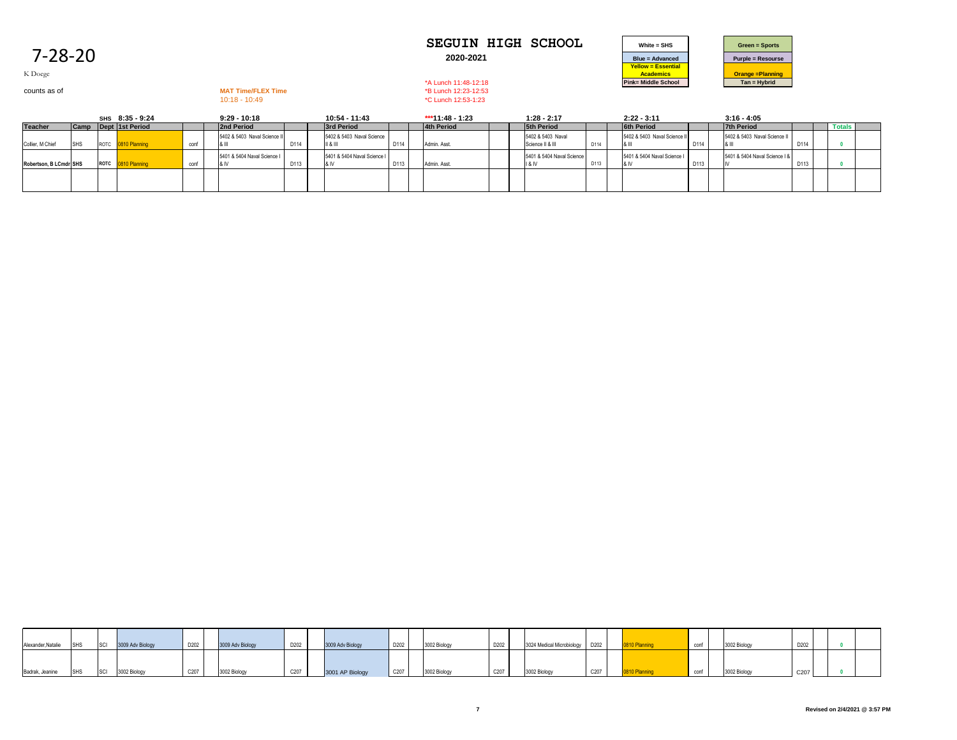| <b>SEGUIN HIGH SCHOOL</b> | White $=$ SHS          | <b>Green = Sports</b>   |
|---------------------------|------------------------|-------------------------|
| 2020-2021                 | <b>Blue = Advanced</b> | <b>Purple = Resours</b> |



K Doege

10:18 - 10:49 \*C Lunch 12:53-1:23

|                        |            | SHS 8:35 - 9:24      |      | $9:29 - 10:18$              |      | 10:54 - 11:43                        |      | ***11:48 - 1:23 | $1:28 - 2:17$                         |      | $2:22 - 3:11$                |      | $3:16 - 4:05$                 |      |               |  |
|------------------------|------------|----------------------|------|-----------------------------|------|--------------------------------------|------|-----------------|---------------------------------------|------|------------------------------|------|-------------------------------|------|---------------|--|
| <b>Teacher</b>         |            | Camp Dept 1st Period |      | 2nd Period                  |      | 3rd Period                           |      | 4th Period      | <b>5th Period</b>                     |      | <b>6th Period</b>            |      | <b>7th Period</b>             |      | <b>Totals</b> |  |
| Collier, M Chief       | <b>SHS</b> | ROTC 0810 Planning   | conf | 5402 & 5403 Naval Science I | D114 | 5402 & 5403 Naval Science<br>  8     | D114 | Admin, Asst.    | 5402 & 5403 Naval<br>Science II & III | D114 | 5402 & 5403 Naval Science II | D114 | 5402 & 5403 Naval Science II  | D114 |               |  |
| Robertson, B LCmdr SHS |            | ROTC 0810 Planning   | conf | 5401 & 5404 Naval Science I | D113 | 5401 & 5404 Naval Science I<br>18 IV | D113 | Admin, Asst.    | 5401 & 5404 Naval Science<br>11 & IV  | D113 | 5401 & 5404 Naval Science I  | D113 | 5401 & 5404 Naval Science   & | D113 |               |  |
|                        |            |                      |      |                             |      |                                      |      |                 |                                       |      |                              |      |                               |      |               |  |

| Alexander, Natalie SHS |             | SCI | 3009 Adv Biology | D202 | 3009 Adv Biology | D202 | 3009 Adv Biology | D202                     | 3002 Biology | D202 | 3024 Medical Microbiology D202 |      |  |  | 3002 Biology |                  |  |  |
|------------------------|-------------|-----|------------------|------|------------------|------|------------------|--------------------------|--------------|------|--------------------------------|------|--|--|--------------|------------------|--|--|
| Badrak, Jeanine        | <b>ISHS</b> |     | 3002 Biology     | C207 | 3002 Biology     | C207 | 3001 AP Biology  | $\vert$ C <sub>207</sub> | 3002 Biology | C207 | 3002 Biology                   | C207 |  |  | 3002 Biology | C <sub>207</sub> |  |  |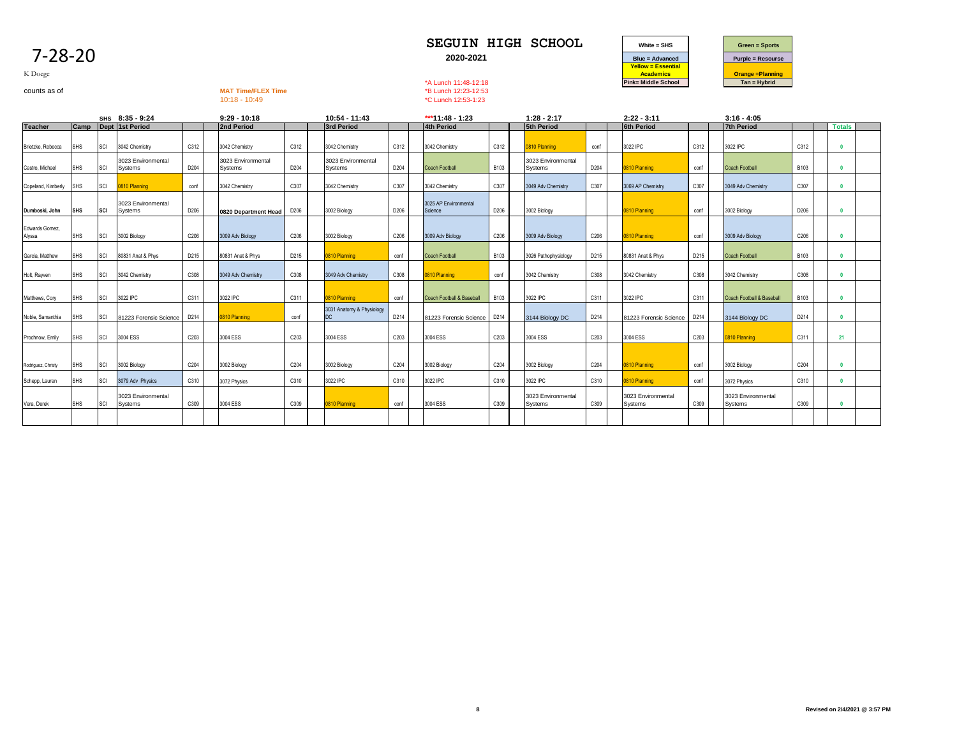| K Doege                  |            |            |                               |                  |                                              |      |                                  |      | *A Lunch 11:48-12:18                        |             |                                      |                  | <b>Academics</b><br><b>Pink= Middle School</b> |      | <b>Orange = Planning</b><br>$Tan = Hybrid$ |             |               |  |
|--------------------------|------------|------------|-------------------------------|------------------|----------------------------------------------|------|----------------------------------|------|---------------------------------------------|-------------|--------------------------------------|------------------|------------------------------------------------|------|--------------------------------------------|-------------|---------------|--|
| counts as of             |            |            |                               |                  | <b>MAT Time/FLEX Time</b><br>$10:18 - 10:49$ |      |                                  |      | *B Lunch 12:23-12:53<br>*C Lunch 12:53-1:23 |             |                                      |                  |                                                |      |                                            |             |               |  |
|                          |            |            | SHS 8:35 - 9:24               |                  | $9:29 - 10:18$                               |      | 10:54 - 11:43                    |      | ***11:48 - 1:23                             |             | $1:28 - 2:17$                        |                  | $2:22 - 3:11$                                  |      | $3:16 - 4:05$                              |             |               |  |
| <b>Teacher</b>           |            |            | Camp Dept 1st Period          |                  | 2nd Period                                   |      | 3rd Period                       |      | 4th Period                                  |             | <b>5th Period</b>                    |                  | <b>6th Period</b>                              |      | <b>7th Period</b>                          |             | <b>Totals</b> |  |
| Brietzke, Rebecca        | <b>SHS</b> | SCI        | 3042 Chemistry                | C312             | 3042 Chemistry                               | C312 | 3042 Chemistry                   | C312 | 3042 Chemistry                              | C312        | 0810 Planning                        | conf             | 3022 IPC                                       | C312 | 3022 IPC                                   | C312        | $\mathbf{r}$  |  |
| Castro, Michael          | <b>SHS</b> | SCI        | 3023 Environmental<br>Systems | D204             | 3023 Environmental<br>Systems                | D204 | 3023 Environmental<br>Systems    | D204 | Coach Football                              | <b>B103</b> | 3023 Environmental<br>Systems        | D204             | 0810 Planning                                  | conf | <b>Coach Football</b>                      | <b>B103</b> | $\mathbf{0}$  |  |
| Copeland, Kimberly       | <b>SHS</b> | SCI        | 0810 Planning                 | conf             | 3042 Chemistry                               | C307 | 3042 Chemistry                   | C307 | 3042 Chemistry                              | C307        | 3049 Adv Chemistry                   | C307             | 3069 AP Chemistry                              | C307 | 3049 Adv Chemistry                         | C307        | $\mathbf{0}$  |  |
| Dumboski, John           | <b>SHS</b> | <b>SCI</b> | 3023 Environmental<br>Systems | D206             | 0820 Department Head                         | D206 | 3002 Biology                     | D206 | 3025 AP Environmental<br>Science            | D206        | 3002 Biology                         |                  | 0810 Planning                                  | conf | 3002 Biology                               | D206        | $\mathbf{0}$  |  |
| Edwards Gomez.<br>Alyssa | <b>SHS</b> | SCI        | 3002 Biology                  | C206             | 3009 Adv Biology                             | C206 | 3002 Biology                     | C206 | 3009 Adv Biology                            | C206        | 3009 Adv Biology                     | C206             | 0810 Planning                                  | conf | 3009 Adv Biology                           | C206        | $\mathbf{0}$  |  |
| Garcia, Matthew          | <b>SHS</b> | SCI        | 80831 Anat & Phys             | D215             | 80831 Anat & Phys                            | D215 | 0810 Planning                    | conf | <b>Coach Football</b>                       | B103        | 3026 Pathophysiology                 | D215             | 80831 Anat & Phys                              | D215 | <b>Coach Football</b>                      | B103        | $\mathbf{0}$  |  |
| Holt, Rayven             | <b>SHS</b> | SCI        | 3042 Chemistry                | C308             | 3049 Adv Chemistry                           | C308 | 3049 Adv Chemistry               | C308 | 0810 Planning                               | conf        | 3042 Chemistry                       | C308             | 3042 Chemistry                                 | C308 | 3042 Chemistry                             | C308        | $\mathbf{0}$  |  |
| Matthews, Cory           | <b>SHS</b> | SCI        | 3022 IPC                      | C311             | 3022 IPC                                     | C311 | 810 Planning                     | conf | Coach Football & Baseball                   | B103        | 3022 IPC                             | C311             | 3022 IPC                                       | C311 | Coach Football & Basebal                   | <b>B103</b> | $\mathbf{0}$  |  |
| Noble, Samanthia         | <b>SHS</b> | SCI        | 81223 Forensic Science        | D214             | 0810 Planning                                | conf | 3031 Anatomy & Physiology<br>DC. | D214 | <b>81223 Forensic Science</b>               | D214        | 3144 Biology DC                      | D214             | 81223 Forensic Science                         | D214 | 3144 Biology DC                            | D214        | $\mathbf{0}$  |  |
| Prochnow, Emily          | <b>SHS</b> | SCI        | 3004 ESS                      | C <sub>203</sub> | 3004 ESS                                     | C203 | 3004 ESS                         | C203 | 3004 ESS                                    | C203        | 3004 ESS                             | C <sub>203</sub> | 3004 ESS                                       | C203 | 0810 Planning                              | C311        | 21            |  |
| Rodriguez, Christy       | <b>SHS</b> | SCI        | 3002 Biology                  | C204             | 3002 Biology                                 | C204 | 3002 Biology                     | C204 | 3002 Biology                                | C204        | 3002 Biology                         | C204             | 0810 Planning                                  | conf | 3002 Biology                               | C204        | $\mathbf{0}$  |  |
| Schepp, Lauren           | <b>SHS</b> | SCI        | 3079 Adv Physics              | C310             | 3072 Physics                                 | C310 | 3022 IPC                         | C310 | 3022 IPC                                    | C310        | 3022 IPC                             | C310             | 0810 Planning                                  | conf | 3072 Physics                               | C310        | $\mathbf{0}$  |  |
| Vera, Derek              | <b>SHS</b> | SCI        | 3023 Environmental<br>Systems | C309             | 3004 ESS                                     | C309 | 0810 Planning                    | conf | 3004 ESS                                    | C309        | 3023 Environmental<br><b>Systems</b> | C309             | 3023 Environmental<br>Systems                  | C309 | 3023 Environmental<br>Systems              | C309        | $\mathbf{r}$  |  |
|                          |            |            |                               |                  |                                              |      |                                  |      |                                             |             |                                      |                  |                                                |      |                                            |             |               |  |



7-28-20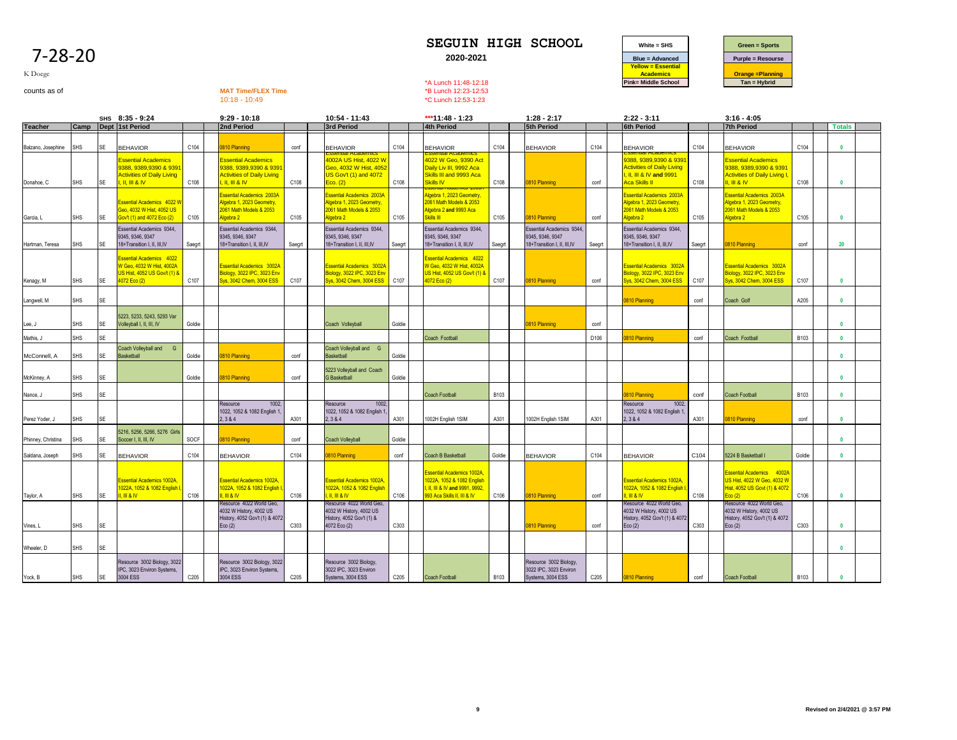|--|



K Doege

# counts as of **MAT Time/FLEX Time**<br>counts as of **MAT Time/FLEX Time**<br>10:18 - 10:49<br>**MAT Time/FLEX Time**<br>20:49<br>**C Lunch 12:53-1:23**

\*C Lunch 12:53-1:23

|                    |            |           | SHS 8:35 - 9:24                                                                                                                                                                                                                                                                                                                                                                                                                                                                                                                          |        | $9:29 - 10:18$                                                                                                                               |        | 10:54 - 11:43                                                                                            |        | ***11:48 - 1:23                                                                                                                |        | $1:28 - 2:17$                                                                 |        | $2:22 - 3:11$                                                                                                            |        | $3:16 - 4:05$                                                                                                   |             |               |  |
|--------------------|------------|-----------|------------------------------------------------------------------------------------------------------------------------------------------------------------------------------------------------------------------------------------------------------------------------------------------------------------------------------------------------------------------------------------------------------------------------------------------------------------------------------------------------------------------------------------------|--------|----------------------------------------------------------------------------------------------------------------------------------------------|--------|----------------------------------------------------------------------------------------------------------|--------|--------------------------------------------------------------------------------------------------------------------------------|--------|-------------------------------------------------------------------------------|--------|--------------------------------------------------------------------------------------------------------------------------|--------|-----------------------------------------------------------------------------------------------------------------|-------------|---------------|--|
| <b>Teacher</b>     |            |           | Camp Dept 1st Period                                                                                                                                                                                                                                                                                                                                                                                                                                                                                                                     |        | 2nd Period                                                                                                                                   |        | 3rd Period                                                                                               |        | <b>4th Period</b>                                                                                                              |        | <b>5th Period</b>                                                             |        | <b>6th Period</b>                                                                                                        |        | <b>7th Period</b>                                                                                               |             | <b>Totals</b> |  |
| Balzano, Josephine | SHS        | <b>SE</b> | <b>BEHAVIOR</b>                                                                                                                                                                                                                                                                                                                                                                                                                                                                                                                          | C104   | 810 Planning                                                                                                                                 | conf   | <b>BEHAVIOR</b>                                                                                          | C104   | <b>BEHAVIOR</b>                                                                                                                | C104   | <b>BEHAVIOR</b>                                                               | C104   | <b>BEHAVIOR</b>                                                                                                          | C104   | <b>BEHAVIOR</b>                                                                                                 | C104        | $\mathbf{0}$  |  |
| Donahoe, C         | <b>SHS</b> | SE        | ssential Academics<br>388, 9389.9390 & 939<br><b>Activities of Daily Living</b><br>II. III 8 IV                                                                                                                                                                                                                                                                                                                                                                                                                                          | C108   | <b>Essential Academics</b><br>3388, 9389,9390 & 939<br><b>Activities of Daily Living</b><br>$\overline{M}$ , $\overline{M}$ , $\overline{M}$ | C108   | 1002A US Hist, 4022 W<br>3eo, 4032 W Hist, 405;<br>JS Gov't (1) and 4072<br>$E$ co. $(2)$                | C108   | 1022 W Geo, 9390 Act<br>Daily Liv III, 9992 Aca<br>Skills III and 9993 Aca<br>Skills IV                                        | C108   | 0810 Planning                                                                 | conf   | 1388, 9389,9390 & 939 <sup>.</sup><br><b>Activities of Daily Living</b><br>II. III & IV and 9991<br><b>Aca Skills II</b> | C108   | ssential Academics<br>3388, 9389,9390 & 939 <sup>.</sup><br><b>Activities of Daily Living I</b><br>II. III & IV | C108        | $\mathbf{0}$  |  |
| Garcia, L          | <b>SHS</b> | <b>SE</b> | ssential Academics 4022 \<br>Seo, 4032 W Hist, 4052 US<br>Sov't (1) and 4072 Eco (2)                                                                                                                                                                                                                                                                                                                                                                                                                                                     | C105   | ssential Academics 2003A<br>Ngebra 1, 2023 Geometry,<br>2061 Math Models & 2053<br>Naebra 2                                                  | C105   | ssential Academics 2003A<br><b>Ngebra 1, 2023 Geometry,</b><br>061 Math Models & 2053<br><b>Naebra 2</b> | C105   | lgebra 1, 2023 Geometry<br>2061 Math Models & 2053<br>Algebra 2 and 9993 Aca<br>Skills III                                     | C105   | 810 Planning                                                                  | conf   | ssential Academics 2003A<br>dgebra 1, 2023 Geometry,<br>061 Math Models & 2053<br>Joebra 2                               | C105   | ssential Academics 2003A<br>Ngebra 1, 2023 Geometry,<br>2061 Math Models & 2053<br>Algebra 2                    | C105        | $\mathbf{0}$  |  |
| Hartman, Teresa    | SHS        | <b>SE</b> | Essential Academics 9344,<br>9345, 9346, 9347<br>18+Transition I, II, III, IV                                                                                                                                                                                                                                                                                                                                                                                                                                                            | Saegrt | <b>Essential Academics 9344,</b><br>345, 9346, 9347<br>18+Transition I, II, III,IV                                                           | Saegrt | Essential Academics 9344,<br>9345.9346.9347<br>18+Transition I, II, III, IV                              | Saegrt | Essential Academics 9344,<br>9345, 9346, 9347<br>18+Transition I. II. III.IV                                                   | Saegrt | Essential Academics 9344,<br>9345, 9346, 9347<br>18+Transition I, II, III, IV | Saegrt | Essential Academics 9344,<br>9345, 9346, 9347<br>18+Transition I. II. III.IV                                             | Saegrt | 0810 Planning                                                                                                   | conf        | 20            |  |
| Kenagy, M          | <b>SHS</b> | <b>SE</b> | ssential Academics 4022<br>V Geo, 4032 W Hist, 4002A<br>US Hist, 4052 US Gov/t (1) &<br>1072 Eco (2)                                                                                                                                                                                                                                                                                                                                                                                                                                     | C107   | <b>Essential Academics 3002A</b><br>Biology, 3022 IPC, 3023 Env<br>Sys, 3042 Chem, 3004 ESS                                                  | C107   | <b>Essential Academics 3002A</b><br>Biology, 3022 IPC, 3023 Env<br>Sys. 3042 Chem. 3004 ESS              | C107   | <b>Essential Academics</b> 4022<br>V Geo, 4032 W Hist, 4002A<br>JS Hist, 4052 US Gov/t (1) &<br>4072 Eco (2)                   | C107   | 0810 Planning                                                                 | conf   | <b>Essential Academics 3002A</b><br>Biology, 3022 IPC, 3023 Env<br><b>Sys, 3042 Chem, 3004 ESS</b>                       | C107   | Essential Academics 3002A<br>Biology, 3022 IPC, 3023 Env<br>Sys, 3042 Chem, 3004 ESS                            | C107        | $\mathbf{0}$  |  |
| Langwell, M        | SHS        | <b>SE</b> |                                                                                                                                                                                                                                                                                                                                                                                                                                                                                                                                          |        |                                                                                                                                              |        |                                                                                                          |        |                                                                                                                                |        |                                                                               |        | 810 Planning                                                                                                             | conf   | Coach Golf                                                                                                      | A205        | $\mathbf{0}$  |  |
| Lee, J             | <b>SHS</b> | <b>SE</b> | 5223, 5233, 5243, 5293 Var<br>Volleyball I, II, III, IV                                                                                                                                                                                                                                                                                                                                                                                                                                                                                  | Goldie |                                                                                                                                              |        | Coach Volleyball                                                                                         | Goldie |                                                                                                                                |        | 810 Planning                                                                  | conf   |                                                                                                                          |        |                                                                                                                 |             | $\mathbf{a}$  |  |
| Mathis, J          | <b>SHS</b> | <b>SE</b> |                                                                                                                                                                                                                                                                                                                                                                                                                                                                                                                                          |        |                                                                                                                                              |        |                                                                                                          |        | Coach Football                                                                                                                 |        |                                                                               | D106   | 810 Planning                                                                                                             | conf   | Coach Football                                                                                                  | B103        | $\mathbf{0}$  |  |
| McConnell, A       | <b>SHS</b> | <b>SE</b> | Coach Volleyball and G<br>Basketball                                                                                                                                                                                                                                                                                                                                                                                                                                                                                                     | Goldie | 810 Planning                                                                                                                                 | conf   | Coach Volleyball and G<br><b>Basketball</b>                                                              | Goldie |                                                                                                                                |        |                                                                               |        |                                                                                                                          |        |                                                                                                                 |             | $\mathbf{0}$  |  |
| McKinney, A        | <b>SHS</b> | <b>SE</b> |                                                                                                                                                                                                                                                                                                                                                                                                                                                                                                                                          | Goldie | 810 Planning                                                                                                                                 | conf   | 5223 Volleyball and Coach<br><b>G</b> Basketball                                                         | Goldie |                                                                                                                                |        |                                                                               |        |                                                                                                                          |        |                                                                                                                 |             |               |  |
| Nance, J           | <b>SHS</b> | SE        |                                                                                                                                                                                                                                                                                                                                                                                                                                                                                                                                          |        |                                                                                                                                              |        |                                                                                                          |        | Coach Football                                                                                                                 | B103   |                                                                               |        | 810 Planning                                                                                                             | conf   | <b>Coach Football</b>                                                                                           | <b>B103</b> | $\mathbf{0}$  |  |
| Perez Yoder, J     | <b>SHS</b> | <b>SE</b> |                                                                                                                                                                                                                                                                                                                                                                                                                                                                                                                                          |        | 1002,<br>Resource<br>1022, 1052 & 1082 English 1.<br>2.384                                                                                   | A301   | 1002<br>Resource<br>1022, 1052 & 1082 English 1.<br>2.384                                                | A301   | 1002H English 1SIM                                                                                                             | A301   | 1002H English 1SIM                                                            | A301   | Resource<br>1002<br>1022, 1052 & 1082 English 1,<br>2, 384                                                               | A301   | <b>810 Planning</b>                                                                                             | conf        | $\mathbf{0}$  |  |
| Phinney, Christina | <b>SHS</b> | <b>SE</b> | 5216, 5256, 5266, 5276 Girls<br>Soccer I, II, III, IV                                                                                                                                                                                                                                                                                                                                                                                                                                                                                    | SOCF   | <b>810 Planning</b>                                                                                                                          | conf   | Coach Volleyball                                                                                         | Goldie |                                                                                                                                |        |                                                                               |        |                                                                                                                          |        |                                                                                                                 |             | $\mathbf{a}$  |  |
| Saldana, Joseph    | <b>SHS</b> | <b>SE</b> | <b>BEHAVIOR</b>                                                                                                                                                                                                                                                                                                                                                                                                                                                                                                                          | C104   | <b>BEHAVIOR</b>                                                                                                                              | C104   | 810 Planning                                                                                             | conf   | Coach B Basketball                                                                                                             | Goldie | <b>BEHAVIOR</b>                                                               | C104   | <b>BEHAVIOR</b>                                                                                                          | C104   | 5224 B Basketball I                                                                                             | Goldie      | $\mathbf{0}$  |  |
| Taylor, A          | <b>SHS</b> | <b>SE</b> | ssential Academics 1002A<br>022A, 1052 & 1082 English<br>$\overline{\phantom{1}}$ $\overline{\phantom{1}}$ $\overline{\phantom{1}}$ $\overline{\phantom{1}}$ $\overline{\phantom{1}}$ $\overline{\phantom{1}}$ $\overline{\phantom{1}}$ $\overline{\phantom{1}}$ $\overline{\phantom{1}}$ $\overline{\phantom{1}}$ $\overline{\phantom{1}}$ $\overline{\phantom{1}}$ $\overline{\phantom{1}}$ $\overline{\phantom{1}}$ $\overline{\phantom{1}}$ $\overline{\phantom{1}}$ $\overline{\phantom{1}}$ $\overline{\phantom{1}}$ $\overline{\$ | C106   | <b>Essential Academics 1002A</b><br>1022A, 1052 & 1082 English I<br>M8W                                                                      | C106   | <b>Essential Academics 1002A</b><br>022A, 1052 & 1082 English<br>$\mathbb{R}$ III & IV                   | C106   | <b>Essential Academics 1002A</b><br>022A, 1052 & 1082 English<br>. II. III & IV and 9991, 9992.<br>993 Aca Skills II, III & IV | C106   | 0810 Planning                                                                 | conf   | <b>Essential Academics 1002A</b><br>022A. 1052 & 1082 English<br>III & IV                                                | C106   | Essential Academics 4002A<br>JS Hist, 4022 W Geo, 4032 W<br>Hist, 4052 US Govt (1) & 4072<br>$E$ co (2)         | C106        | $\mathbf{0}$  |  |
| Vines, L           | <b>SHS</b> | SE        |                                                                                                                                                                                                                                                                                                                                                                                                                                                                                                                                          |        | tesource 4022 World Geo,<br>1032 W History, 4002 US<br>History, 4052 Gov't (1) & 4072<br>Eco(2)                                              | C303   | Resource 4022 World Geo,<br>4032 W History, 4002 US<br>History, 4052 Gov't (1) &<br>4072 Eco (2)         | C303   |                                                                                                                                |        | 810 Planning                                                                  | conf   | Resource 4022 World Geo,<br>4032 W History, 4002 US<br>History, 4052 Gov't (1) & 4072<br>Eco(2)                          | C303   | Resource 4022 World Geo,<br>4032 W History, 4002 US<br>History, 4052 Gov't (1) & 4072<br>Eco(2)                 | C303        | $\mathbf{0}$  |  |
| Wheeler, D         | <b>SHS</b> | <b>SE</b> |                                                                                                                                                                                                                                                                                                                                                                                                                                                                                                                                          |        |                                                                                                                                              |        |                                                                                                          |        |                                                                                                                                |        |                                                                               |        |                                                                                                                          |        |                                                                                                                 |             | $\mathbf{0}$  |  |
| Yock, B            | SHS        | <b>SE</b> | Resource 3002 Biology, 3022<br>IPC, 3023 Environ Systems,<br>3004 ESS                                                                                                                                                                                                                                                                                                                                                                                                                                                                    | C205   | Resource 3002 Biology, 3022<br>PC, 3023 Environ Systems,<br>3004 ESS                                                                         | C205   | Resource 3002 Biology,<br>3022 IPC, 3023 Environ<br>Systems, 3004 ESS                                    | C205   | <b>Coach Football</b>                                                                                                          | B103   | Resource 3002 Biology,<br>3022 IPC, 3023 Environ<br>Systems, 3004 ESS         | C205   | 810 Planning                                                                                                             | conf   | <b>Coach Football</b>                                                                                           | <b>B103</b> |               |  |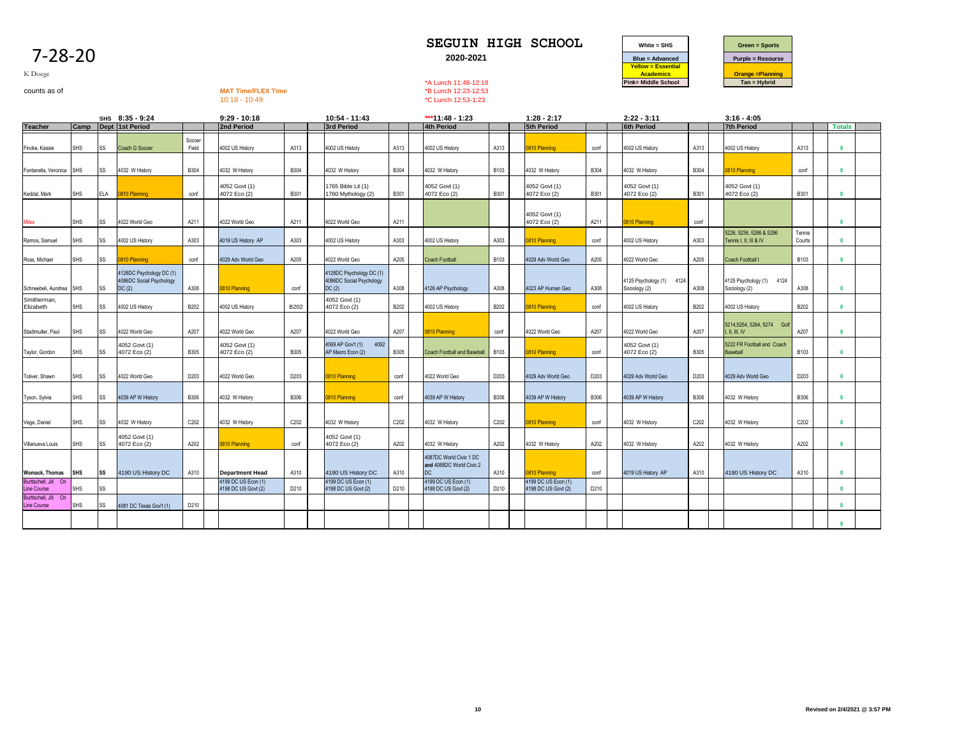| O<br>u<br>r |
|-------------|
|-------------|



K Doege

counts as of **MAT Time/FLEX Time**<br>counts as of **MAT Time/FLEX Time**<br>10:18 - 10:49<br>**MAT Time/FLEX Time**<br>20:49<br>**C Lunch 12:53-1:23** 10:18 - 10:49 \*C Lunch 12:53-1:23

|                                                             |            |            | SHS 8:35 - 9:24                                               |                 | $9:29 - 10:18$                             |             | 10:54 - 11:43                                                 |             | ***11:48 - 1:23                                           |                  | $1:28 - 2:17$                              |             | $2:22 - 3:11$                             |             | $3:16 - 4:05$                                     |                  |               |  |
|-------------------------------------------------------------|------------|------------|---------------------------------------------------------------|-----------------|--------------------------------------------|-------------|---------------------------------------------------------------|-------------|-----------------------------------------------------------|------------------|--------------------------------------------|-------------|-------------------------------------------|-------------|---------------------------------------------------|------------------|---------------|--|
| <b>Teacher</b>                                              |            |            | Camp   Dept   1st Period                                      |                 | <b>2nd Period</b>                          |             | <b>3rd Period</b>                                             |             | <b>4th Period</b>                                         |                  | <b>5th Period</b>                          |             | <b>6th Period</b>                         |             | <b>7th Period</b>                                 |                  | <b>Totals</b> |  |
| Fincke, Kassie                                              | SHS        | SS         | Coach G Soccer                                                | Soccer<br>Field | 4002 US History                            | A313        | 4002 US History                                               | A313        | 4002 US History                                           | A313             | 810 Planning                               | conf        | 4002 US History                           | A313        | 4002 US History                                   | A313             |               |  |
| Fontanella, Veronica                                        | <b>SHS</b> | SS         | 4032 W History                                                | <b>B304</b>     | 4032 W History                             | <b>B304</b> | 4032 W History                                                | <b>B304</b> | 4032 W History                                            | B <sub>103</sub> | 4032 W History                             | <b>B304</b> | 4032 W History                            | <b>B304</b> | 810 Planning                                      | conf             |               |  |
| Keddal, Mark                                                | SHS        | <b>ELA</b> | 0810 Planning                                                 | conf            | 4052 Govt (1)<br>4072 Eco (2)              | <b>B301</b> | 1765 Bible Lit (1)<br>1760 Mythology (2)                      | <b>B301</b> | 4052 Govt (1)<br>4072 Eco (2)                             | <b>B301</b>      | 4052 Govt (1)<br>4072 Eco (2)              | B301        | 4052 Govt (1)<br>4072 Eco (2)             | B301        | 4052 Govt (1)<br>4072 Eco (2)                     | B301             | $\mathbf{0}$  |  |
| <b>Miles</b>                                                | SHS        | SS         | 4022 World Geo                                                | A211            | 4022 World Geo                             | A211        | 4022 World Geo                                                | A211        |                                                           |                  | 4052 Govt (1)<br>4072 Eco (2)              | A211        | 810 Planning                              | conf        |                                                   |                  | n             |  |
| Ramos, Samuel                                               | SHS        | SS         | 4002 US History                                               | A303            | 4019 US History AP                         | A303        | 4002 US History                                               | A303        | 4002 US History                                           | A303             | 810 Planning                               | conf        | 4002 US History                           | A303        | 5226, 5236, 5286 & 5296<br>Tennis I, II, III & IV | Tennis<br>Courts |               |  |
| Ross, Michael                                               | SHS        | SS         | 0810 Planning                                                 | conf            | 4029 Adv World Geo                         | A205        | 4022 World Geo                                                | A205        | <b>Coach Football</b>                                     | <b>B103</b>      | 4029 Adv World Geo                         | A205        | 4022 World Geo                            | A205        | Coach Football I                                  | <b>B103</b>      |               |  |
| Schneebeli, Aundrea                                         | <b>SHS</b> | SS         | 4128DC Psychology DC (1)<br>4086DC Social Psychology<br>DC(2) | A308            | 0810 Planning                              | conf        | 4128DC Psychology DC (1)<br>4086DC Social Psychology<br>DC(2) | A308        | 4126 AP Psychology                                        | A308             | 4023 AP Human Geo                          | A308        | 4125 Psychology (1) 4124<br>Sociology (2) | A308        | 4125 Psychology (1) 4124<br>Sociology (2)         | A308             |               |  |
| Smitherman,<br>Elizabeth                                    | SHS        | SS         | 4002 US History                                               | B202            | 4002 US History                            | <b>B202</b> | 4052 Govt (1)<br>4072 Eco (2)                                 | B202        | 4002 US History                                           | B202             | 810 Planning                               | conf        | 4002 US History                           | B202        | 4002 US History                                   | B202             |               |  |
| Stadtmuller, Paul                                           | SHS        | SS         | 4022 World Geo                                                | A207            | 4022 World Geo                             | A207        | 4022 World Geo                                                | A207        | 0810 Planning                                             | conf             | 4022 World Geo                             | A207        | 4022 World Geo                            | A207        | 5214,5254, 5264, 5274 Golf<br>I. II. III. IV      | A207             |               |  |
| Taylor, Gordon                                              | <b>SHS</b> | SS         | 4052 Govt (1)<br>4072 Eco (2)                                 | <b>B305</b>     | 4052 Govt (1)<br>4072 Eco (2)              | <b>B305</b> | 4092<br>4069 AP Gov't (1)<br>AP Macro Econ (2)                | <b>B305</b> | <b>Coach Football and Baseball</b>                        | <b>B103</b>      | 810 Planning                               | conf        | 4052 Govt (1)<br>4072 Eco (2)             | <b>B305</b> | 5222 FR Football and Coach<br>Baseball            | <b>B103</b>      |               |  |
| Toliver, Shawn                                              | SHS        | SS         | 4022 World Geo                                                | D203            | 4022 World Geo                             | D203        | 0810 Planning                                                 | conf        | 4022 World Geo                                            | D203             | 4029 Adv World Geo                         | D203        | 4029 Adv World Geo                        | D203        | 4029 Adv World Geo                                | D203             |               |  |
| Tyson, Sylvia                                               | SHS        | SS         | 4039 AP W History                                             | <b>B306</b>     | 4032 W History                             | <b>B306</b> | 0810 Planning                                                 | conf        | 4039 AP W History                                         | <b>B306</b>      | 4039 AP W History                          | <b>B306</b> | 4039 AP W History                         | <b>B306</b> | 4032 W History                                    | <b>B306</b>      |               |  |
| Vega, Daniel                                                | SHS        | SS         | 4032 W History                                                | C202            | 4032 W History                             | C202        | 4032 W History                                                | C202        | 4032 W History                                            | C202             | 810 Planning                               | conf        | 4032 W History                            | C202        | 4032 W History                                    | C202             |               |  |
| Villanueva Louis                                            | SHS        | SS         | 4052 Govt (1)<br>4072 Eco (2)                                 | A202            | 0810 Planning                              | conf        | 4052 Govt (1)<br>4072 Eco (2)                                 | A202        | 4032 W History                                            | A202             | 4032 W History                             | A202        | 4032 W History                            | A202        | 4032 W History                                    | A202             |               |  |
| <b>Womack, Thomas</b>                                       | <b>SHS</b> | SS         | 4190 US History DC                                            | A310            | <b>Department Head</b>                     | A310        | 4190 US History DC                                            | A310        | 4087DC World Civic 1 DC<br>and 4088DC World Civic 2<br>DC | A310             | 810 Planning                               | conf        | 4019 US History AP                        | A310        | 4190 US History DC                                | A310             |               |  |
| Burttschell, Jill On<br>Line Course<br>Burttschell, Jill On | SHS        | SS         |                                                               |                 | 4199 DC US Econ (1)<br>4198 DC US Govt (2) | D210        | 4199 DC US Econ (1)<br>4198 DC US Govt (2)                    | D210        | 4199 DC US Econ (1)<br>4198 DC US Govt (2)                | D210             | 4199 DC US Econ (1)<br>4198 DC US Govt (2) | D210        |                                           |             |                                                   |                  |               |  |
| <b>Line Course</b>                                          | SHS        | SS         | 4081 DC Texas Gov't (1)                                       | D210            |                                            |             |                                                               |             |                                                           |                  |                                            |             |                                           |             |                                                   |                  |               |  |
|                                                             |            |            |                                                               |                 |                                            |             |                                                               |             |                                                           |                  |                                            |             |                                           |             |                                                   |                  |               |  |